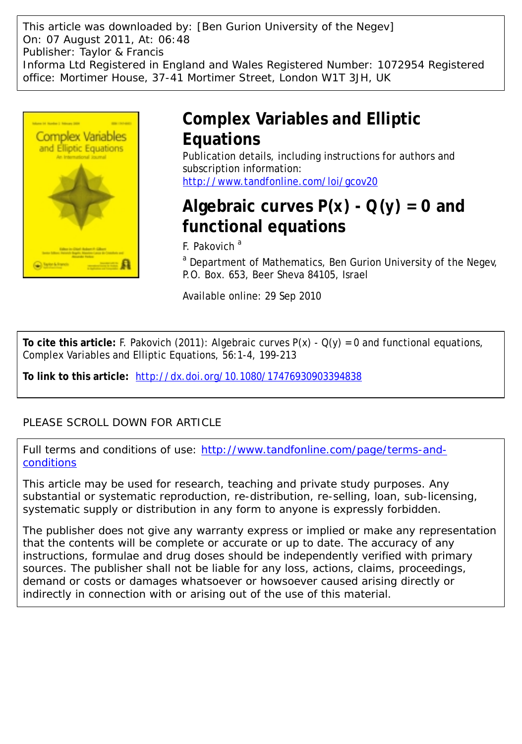This article was downloaded by: [Ben Gurion University of the Negev] On: 07 August 2011, At: 06:48 Publisher: Taylor & Francis Informa Ltd Registered in England and Wales Registered Number: 1072954 Registered office: Mortimer House, 37-41 Mortimer Street, London W1T 3JH, UK



# **Complex Variables and Elliptic Equations**

Publication details, including instructions for authors and subscription information: <http://www.tandfonline.com/loi/gcov20>

# Algebraic curves  $P(x) - Q(y) = 0$  and **functional equations**

F. Pakovich<sup>a</sup>

<sup>a</sup> Department of Mathematics, Ben Gurion University of the Negev, P.O. Box. 653, Beer Sheva 84105, Israel

Available online: 29 Sep 2010

**To cite this article:** F. Pakovich (2011): Algebraic curves *P*(*x*) - *Q*(*y*) = 0 and functional equations, Complex Variables and Elliptic Equations, 56:1-4, 199-213

**To link to this article:** <http://dx.doi.org/10.1080/17476930903394838>

# PLEASE SCROLL DOWN FOR ARTICLE

Full terms and conditions of use: [http://www.tandfonline.com/page/terms-and](http://www.tandfonline.com/page/terms-and-conditions)[conditions](http://www.tandfonline.com/page/terms-and-conditions)

This article may be used for research, teaching and private study purposes. Any substantial or systematic reproduction, re-distribution, re-selling, loan, sub-licensing, systematic supply or distribution in any form to anyone is expressly forbidden.

The publisher does not give any warranty express or implied or make any representation that the contents will be complete or accurate or up to date. The accuracy of any instructions, formulae and drug doses should be independently verified with primary sources. The publisher shall not be liable for any loss, actions, claims, proceedings, demand or costs or damages whatsoever or howsoever caused arising directly or indirectly in connection with or arising out of the use of this material.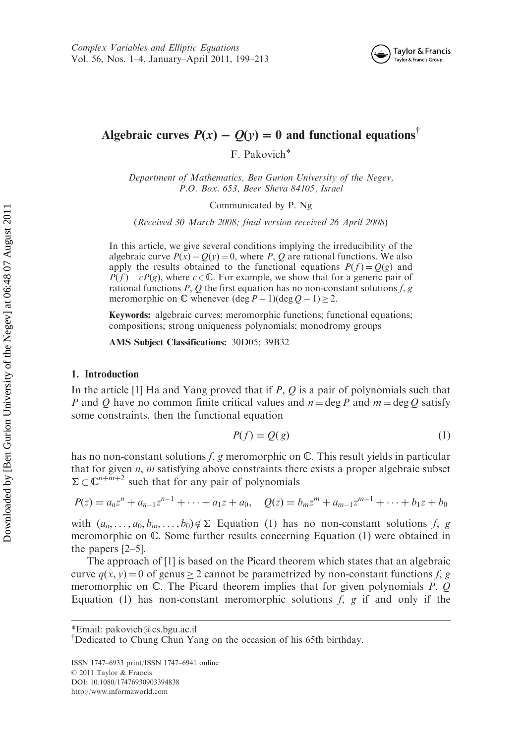

# Algebraic curves  $P(x) - Q(y) = 0$  and functional equations<sup>†</sup>

F. Pakovich\*

Department of Mathematics, Ben Gurion University of the Negev, P.O. Box. 653, Beer Sheva 84105, Israel

Communicated by P. Ng

(Received 30 March 2008; final version received 26 April 2008)

In this article, we give several conditions implying the irreducibility of the algebraic curve  $P(x) - Q(y) = 0$ , where P, Q are rational functions. We also apply the results obtained to the functional equations  $P(f) = Q(g)$  and  $P(f) = cP(g)$ , where  $c \in \mathbb{C}$ . For example, we show that for a generic pair of rational functions  $P$ ,  $Q$  the first equation has no non-constant solutions  $f$ ,  $g$ meromorphic on  $\mathbb C$  whenever  $(\deg P - 1)(\deg Q - 1) \geq 2$ .

Keywords: algebraic curves; meromorphic functions; functional equations; compositions; strong uniqueness polynomials; monodromy groups

AMS Subject Classifications: 30D05; 39B32

#### 1. Introduction

In the article  $[1]$  Ha and Yang proved that if P, Q is a pair of polynomials such that P and Q have no common finite critical values and  $n = \deg P$  and  $m = \deg Q$  satisfy some constraints, then the functional equation

$$
P(f) = Q(g) \tag{1}
$$

has no non-constant solutions f, g meromorphic on  $\mathbb{C}$ . This result yields in particular that for given  $n$ ,  $m$  satisfying above constraints there exists a proper algebraic subset  $\Sigma \subset \mathbb{C}^{n+m+2}$  such that for any pair of polynomials

$$
P(z) = a_n z^n + a_{n-1} z^{n-1} + \dots + a_1 z + a_0, \quad Q(z) = b_m z^m + a_{m-1} z^{m-1} + \dots + b_1 z + b_0
$$

with  $(a_n, \ldots, a_0, b_m, \ldots, b_0) \notin \Sigma$  Equation (1) has no non-constant solutions f, g meromorphic on C. Some further results concerning Equation (1) were obtained in the papers [2–5].

The approach of [1] is based on the Picard theorem which states that an algebraic curve  $q(x, y) = 0$  of genus  $\geq 2$  cannot be parametrized by non-constant functions f, g meromorphic on  $\mathbb C$ . The Picard theorem implies that for given polynomials  $P$ ,  $Q$ Equation (1) has non-constant meromorphic solutions  $f$ ,  $g$  if and only if the

ISSN 1747–6933 print/ISSN 1747–6941 online © 2011 Taylor & Francis DOI: 10.1080/17476930903394838 http://www.informaworld.com

<sup>\*</sup>Email: pakovich@cs.bgu.ac.il

<sup>&</sup>lt;sup>†</sup>Dedicated to Chung Chun Yang on the occasion of his 65th birthday.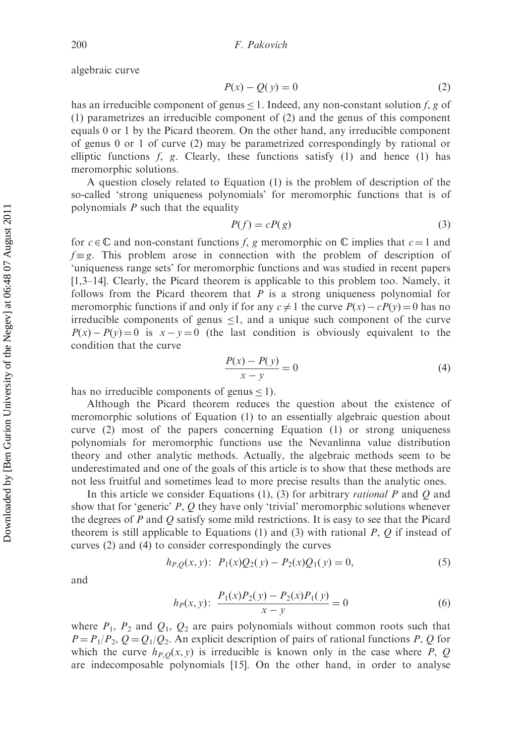algebraic curve

$$
P(x) - Q(y) = 0 \tag{2}
$$

has an irreducible component of genus  $\leq 1$ . Indeed, any non-constant solution f, g of (1) parametrizes an irreducible component of (2) and the genus of this component equals 0 or 1 by the Picard theorem. On the other hand, any irreducible component of genus 0 or 1 of curve (2) may be parametrized correspondingly by rational or elliptic functions f, g. Clearly, these functions satisfy  $(1)$  and hence  $(1)$  has meromorphic solutions.

A question closely related to Equation (1) is the problem of description of the so-called 'strong uniqueness polynomials' for meromorphic functions that is of polynomials  $P$  such that the equality

$$
P(f) = cP(g) \tag{3}
$$

for  $c \in \mathbb{C}$  and non-constant functions f, g meromorphic on  $\mathbb{C}$  implies that  $c = 1$  and  $f = g$ . This problem arose in connection with the problem of description of 'uniqueness range sets' for meromorphic functions and was studied in recent papers [1,3–14]. Clearly, the Picard theorem is applicable to this problem too. Namely, it follows from the Picard theorem that  $P$  is a strong uniqueness polynomial for meromorphic functions if and only if for any  $c \neq 1$  the curve  $P(x) - cP(y) = 0$  has no irreducible components of genus  $\leq 1$ , and a unique such component of the curve  $P(x) - P(y) = 0$  is  $x - y = 0$  (the last condition is obviously equivalent to the condition that the curve

$$
\frac{P(x) - P(y)}{x - y} = 0\tag{4}
$$

has no irreducible components of genus  $\leq$  1).

Although the Picard theorem reduces the question about the existence of meromorphic solutions of Equation (1) to an essentially algebraic question about curve (2) most of the papers concerning Equation (1) or strong uniqueness polynomials for meromorphic functions use the Nevanlinna value distribution theory and other analytic methods. Actually, the algebraic methods seem to be underestimated and one of the goals of this article is to show that these methods are not less fruitful and sometimes lead to more precise results than the analytic ones.

In this article we consider Equations  $(1)$ ,  $(3)$  for arbitrary *rational* P and Q and show that for 'generic'  $P$ ,  $Q$  they have only 'trivial' meromorphic solutions whenever the degrees of  $P$  and  $Q$  satisfy some mild restrictions. It is easy to see that the Picard theorem is still applicable to Equations (1) and (3) with rational  $P$ ,  $Q$  if instead of curves (2) and (4) to consider correspondingly the curves

$$
h_{P,Q}(x, y): P_1(x)Q_2(y) - P_2(x)Q_1(y) = 0,
$$
\n(5)

and

$$
h_P(x, y): \frac{P_1(x)P_2(y) - P_2(x)P_1(y)}{x - y} = 0
$$
\n(6)

where  $P_1$ ,  $P_2$  and  $Q_1$ ,  $Q_2$  are pairs polynomials without common roots such that  $P = P_1/P_2$ ,  $Q = Q_1/Q_2$ . An explicit description of pairs of rational functions P, Q for which the curve  $h_{P,Q}(x, y)$  is irreducible is known only in the case where P, Q are indecomposable polynomials [15]. On the other hand, in order to analyse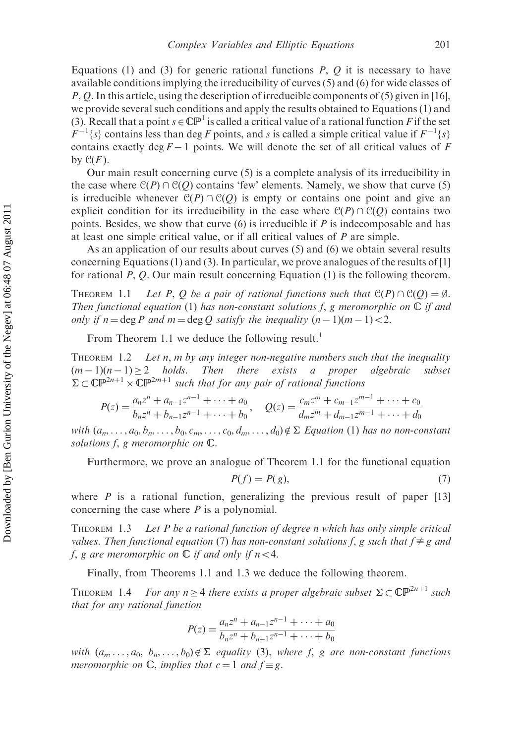Equations (1) and (3) for generic rational functions  $P$ ,  $Q$  it is necessary to have available conditions implying the irreducibility of curves (5) and (6) for wide classes of P, Q. In this article, using the description of irreducible components of  $(5)$  given in [16], we provide several such conditions and apply the results obtained to Equations (1) and (3). Recall that a point  $s \in \mathbb{CP}^1$  is called a critical value of a rational function F if the set  $F^{-1}\lbrace s \rbrace$  contains less than deg F points, and s is called a simple critical value if  $F^{-1}\lbrace s \rbrace$ contains exactly deg  $F-1$  points. We will denote the set of all critical values of F by  $\mathcal{C}(F)$ .

Our main result concerning curve (5) is a complete analysis of its irreducibility in the case where  $\mathcal{C}(P) \cap \mathcal{C}(O)$  contains 'few' elements. Namely, we show that curve (5) is irreducible whenever  $C(P) \cap C(Q)$  is empty or contains one point and give an explicit condition for its irreducibility in the case where  $\mathcal{C}(P) \cap \mathcal{C}(Q)$  contains two points. Besides, we show that curve  $(6)$  is irreducible if P is indecomposable and has at least one simple critical value, or if all critical values of P are simple.

As an application of our results about curves (5) and (6) we obtain several results concerning Equations (1) and (3). In particular, we prove analogues of the results of [1] for rational  $P$ ,  $Q$ . Our main result concerning Equation (1) is the following theorem.

THEOREM 1.1 Let P, Q be a pair of rational functions such that  $\mathcal{C}(P) \cap \mathcal{C}(Q) = \emptyset$ . Then functional equation (1) has non-constant solutions f, g meromorphic on  $\mathbb C$  if and only if  $n = \deg P$  and  $m = \deg Q$  satisfy the inequality  $(n - 1)(m - 1) < 2$ .

From Theorem 1.1 we deduce the following result.<sup>1</sup>

THEOREM 1.2 Let n, m by any integer non-negative numbers such that the inequality  $(m-1)(n$ holds. Then there exists a proper algebraic subset  $\Sigma \subset \mathbb{CP}^{2n+1} \times \mathbb{CP}^{2m+1}$  such that for any pair of rational functions

$$
P(z) = \frac{a_n z^n + a_{n-1} z^{n-1} + \dots + a_0}{b_n z^n + b_{n-1} z^{n-1} + \dots + b_0}, \quad Q(z) = \frac{c_m z^m + c_{m-1} z^{m-1} + \dots + c_0}{d_m z^m + d_{m-1} z^{m-1} + \dots + d_0}
$$

with  $(a_n, \ldots, a_0, b_n, \ldots, b_0, c_m, \ldots, c_0, d_m, \ldots, d_0) \notin \Sigma$  Equation (1) has no non-constant solutions  $f$ ,  $g$  meromorphic on  $\mathbb{C}$ .

Furthermore, we prove an analogue of Theorem 1.1 for the functional equation

$$
P(f) = P(g),\tag{7}
$$

where  $P$  is a rational function, generalizing the previous result of paper [13] concerning the case where  $P$  is a polynomial.

THEOREM  $1.3$  Let P be a rational function of degree n which has only simple critical values. Then functional equation (7) has non-constant solutions f, g such that  $f = g$  and f, g are meromorphic on  $\mathbb C$  if and only if  $n<4$ .

Finally, from Theorems 1.1 and 1.3 we deduce the following theorem.

THEOREM 1.4 For any  $n \geq 4$  there exists a proper algebraic subset  $\Sigma \subset \mathbb{CP}^{2n+1}$  such that for any rational function

$$
P(z) = \frac{a_n z^n + a_{n-1} z^{n-1} + \dots + a_0}{b_n z^n + b_{n-1} z^{n-1} + \dots + b_0}
$$

with  $(a_n, \ldots, a_0, b_n, \ldots, b_0) \notin \Sigma$  equality (3), where f, g are non-constant functions meromorphic on  $\mathbb{C}$ , implies that  $c = 1$  and  $f = g$ .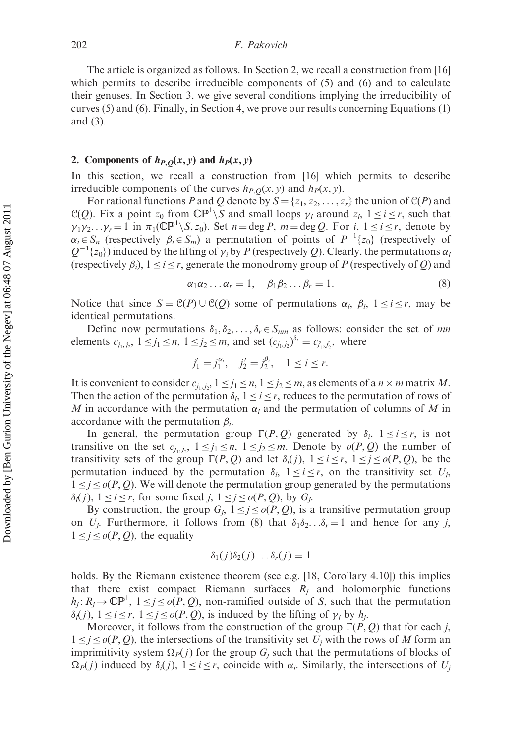The article is organized as follows. In Section 2, we recall a construction from [16] which permits to describe irreducible components of (5) and (6) and to calculate their genuses. In Section 3, we give several conditions implying the irreducibility of curves (5) and (6). Finally, in Section 4, we prove our results concerning Equations (1) and (3).

## 2. Components of  $h_{P,Q}(x, y)$  and  $h_P(x, y)$

In this section, we recall a construction from [16] which permits to describe irreducible components of the curves  $h_{P,Q}(x, y)$  and  $h_P(x, y)$ .

For rational functions P and Q denote by  $S = \{z_1, z_2, \ldots, z_r\}$  the union of  $\mathcal{C}(P)$  and C(Q). Fix a point  $z_0$  from  $\mathbb{CP}^1 \backslash \overline{S}$  and small loops  $\gamma_i$  around  $z_i$ ,  $1 \le i \le r$ , such that  $\gamma_1 \gamma_2 \ldots \gamma_r = 1$  in  $\pi_1(\mathbb{CP}^1 \setminus S, z_0)$ . Set  $n = \deg P$ ,  $m = \deg Q$ . For i,  $1 \le i \le r$ , denote by  $\alpha_i \in S_n$  (respectively  $\beta_i \in S_m$ ) a permutation of points of  $P^{-1}{z_0}$  (respectively of  $Q^{-1}{z_0}$ ) induced by the lifting of  $\gamma_i$  by P (respectively Q). Clearly, the permutations  $\alpha_i$ (respectively  $\beta_i$ ),  $1 \le i \le r$ , generate the monodromy group of P (respectively of Q) and

$$
\alpha_1 \alpha_2 \dots \alpha_r = 1, \quad \beta_1 \beta_2 \dots \beta_r = 1. \tag{8}
$$

Notice that since  $S = \mathcal{C}(P) \cup \mathcal{C}(Q)$  some of permutations  $\alpha_i$ ,  $\beta_i$ ,  $1 \le i \le r$ , may be identical permutations.

Define now permutations  $\delta_1, \delta_2, \ldots, \delta_r \in S_{nm}$  as follows: consider the set of mn elements  $c_{j_1, j_2}$ ,  $1 \le j_1 \le n$ ,  $1 \le j_2 \le m$ , and set  $(c_{j_1, j_2})^{\delta_i} = c_{j'_1, j'_2}$ , where

$$
j'_1 = j_1^{\alpha_i}, \quad j'_2 = j_2^{\beta_i}, \quad 1 \le i \le r.
$$

It is convenient to consider  $c_{j_1,j_2}$ ,  $1 \le j_1 \le n$ ,  $1 \le j_2 \le m$ , as elements of a  $n \times m$  matrix M. Then the action of the permutation  $\delta_i$ ,  $1 \le i \le r$ , reduces to the permutation of rows of M in accordance with the permutation  $\alpha_i$  and the permutation of columns of M in accordance with the permutation  $\beta_i$ .

In general, the permutation group  $\Gamma(P, Q)$  generated by  $\delta_i$ ,  $1 \le i \le r$ , is not transitive on the set  $c_{j_1,j_2}$ ,  $1 \le j_1 \le n$ ,  $1 \le j_2 \le m$ . Denote by  $o(P,Q)$  the number of transitivity sets of the group  $\Gamma(P, Q)$  and let  $\delta_i(j)$ ,  $1 \le i \le r$ ,  $1 \le j \le o(P, Q)$ , be the permutation induced by the permutation  $\delta_i$ ,  $1 \le i \le r$ , on the transitivity set U<sub>i</sub>,  $1 \leq j \leq o(P, Q)$ . We will denote the permutation group generated by the permutations  $\delta_i(j)$ ,  $1 \le i \le r$ , for some fixed j,  $1 \le j \le o(P, Q)$ , by  $G_i$ .

By construction, the group  $G_i$ ,  $1 \leq j \leq o(P, Q)$ , is a transitive permutation group on  $U_i$ . Furthermore, it follows from (8) that  $\delta_1 \delta_2$ ... $\delta_r = 1$  and hence for any j,  $1 \leq j \leq o(P, Q)$ , the equality

$$
\delta_1(j)\delta_2(j)\dots\delta_r(j)=1
$$

holds. By the Riemann existence theorem (see e.g. [18, Corollary 4.10]) this implies that there exist compact Riemann surfaces  $R_i$  and holomorphic functions  $h_j: R_j \to \mathbb{CP}^1$ ,  $1 \leq j \leq o(P, Q)$ , non-ramified outside of S, such that the permutation  $\delta_i(j)$ ,  $1 \le i \le r$ ,  $1 \le j \le o(P, Q)$ , is induced by the lifting of  $\gamma_i$  by  $h_j$ .

Moreover, it follows from the construction of the group  $\Gamma(P, Q)$  that for each j,  $1 \leq j \leq o(P, Q)$ , the intersections of the transitivity set U<sub>j</sub> with the rows of M form an imprimitivity system  $\Omega_P(j)$  for the group  $G_j$  such that the permutations of blocks of  $\Omega_P(j)$  induced by  $\delta_i(j)$ ,  $1 \le i \le r$ , coincide with  $\alpha_i$ . Similarly, the intersections of  $U_j$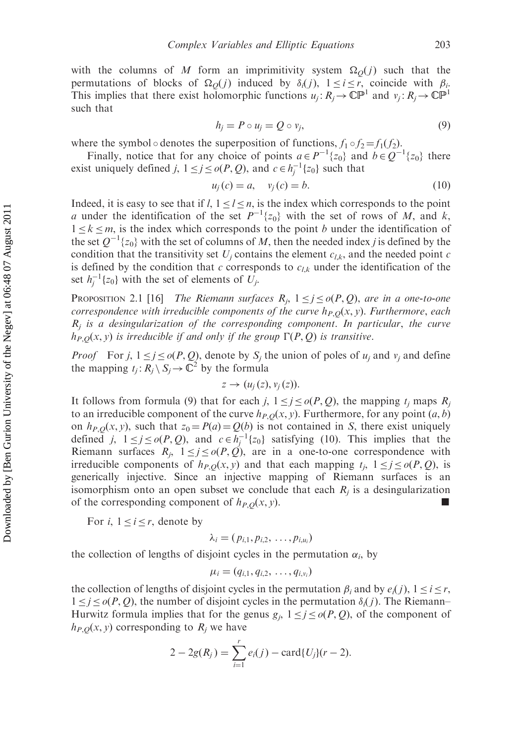with the columns of M form an imprimitivity system  $\Omega_0(i)$  such that the permutations of blocks of  $\Omega_Q(j)$  induced by  $\delta_i(j)$ ,  $1 \le i \le r$ , coincide with  $\beta_i$ . This implies that there exist holomorphic functions  $u_i : R_i \to \mathbb{CP}^1$  and  $v_i : R_i \to \mathbb{CP}^1$ such that

$$
h_j = P \circ u_j = Q \circ v_j,\tag{9}
$$

where the symbol  $\circ$  denotes the superposition of functions,  $f_1 \circ f_2 = f_1(f_2)$ .

Finally, notice that for any choice of points  $a \in P^{-1}{z_0}$  and  $b \in Q^{-1}{z_0}$  there exist uniquely defined j,  $1 \le j \le o(P, Q)$ , and  $c \in h_j^{-1}{z_0}$  such that

$$
u_j(c) = a, \quad v_j(c) = b.
$$
 (10)

Indeed, it is easy to see that if  $l, 1 \le l \le n$ , is the index which corresponds to the point a under the identification of the set  $P^{-1}{z_0}$  with the set of rows of M, and k,  $1 \leq k \leq m$ , is the index which corresponds to the point b under the identification of the set  $Q^{-1}{z_0}$  with the set of columns of M, then the needed index j is defined by the condition that the transitivity set  $U_i$  contains the element  $c_{l,k}$ , and the needed point c is defined by the condition that c corresponds to  $c_{Lk}$  under the identification of the set  $h_j^{-1}{z_0}$  with the set of elements of  $U_j$ .

PROPOSITION 2.1 [16] The Riemann surfaces  $R_i$ ,  $1 \leq j \leq o(P, Q)$ , are in a one-to-one correspondence with irreducible components of the curve  $h_{P,Q}(x, y)$ . Furthermore, each  $R_i$  is a desingularization of the corresponding component. In particular, the curve  $h_{P,Q}(x, y)$  is irreducible if and only if the group  $\Gamma(P, Q)$  is transitive.

*Proof* For j,  $1 \le j \le o(P, Q)$ , denote by  $S_j$  the union of poles of  $u_j$  and  $v_j$  and define the mapping  $t_i : R_i \setminus S_i \to \mathbb{C}^2$  by the formula

$$
z\to (u_j(z),v_j(z)).
$$

It follows from formula (9) that for each j,  $1 \leq j \leq o(P, Q)$ , the mapping  $t_i$  maps  $R_i$ to an irreducible component of the curve  $h_{P,Q}(x, y)$ . Furthermore, for any point  $(a, b)$ on  $h_{P,Q}(x, y)$ , such that  $z_0 = P(a) = Q(b)$  is not contained in S, there exist uniquely defined j,  $1 \le j \le o(P, Q)$ , and  $c \in h_j^{-1}{z_0}$  satisfying (10). This implies that the Riemann surfaces  $R_i$ ,  $1 \leq j \leq o(P, Q)$ , are in a one-to-one correspondence with irreducible components of  $h_{P,Q}(x, y)$  and that each mapping  $t_i$ ,  $1 \le j \le o(P, Q)$ , is generically injective. Since an injective mapping of Riemann surfaces is an isomorphism onto an open subset we conclude that each  $R_i$  is a desingularization of the corresponding component of  $h_{P,Q}(x, y)$ .

For *i*,  $1 \le i \le r$ , denote by

$$
\lambda_i=(p_{i,1},p_{i,2},\ldots,p_{i,u_i})
$$

the collection of lengths of disjoint cycles in the permutation  $\alpha_i$ , by

$$
\mu_i = (q_{i,1}, q_{i,2}, \ldots, q_{i,\nu_i})
$$

the collection of lengths of disjoint cycles in the permutation  $\beta_i$  and by  $e_i(j)$ ,  $1 \le i \le r$ ,  $1 \leq j \leq o(P, Q)$ , the number of disjoint cycles in the permutation  $\delta_i(j)$ . The Riemann– Hurwitz formula implies that for the genus  $g_j$ ,  $1 \le j \le o(P, Q)$ , of the component of  $h_{P,Q}(x, y)$  corresponding to  $R_i$  we have

$$
2 - 2g(R_j) = \sum_{i=1}^r e_i(j) - \text{card}\{U_j\}(r-2).
$$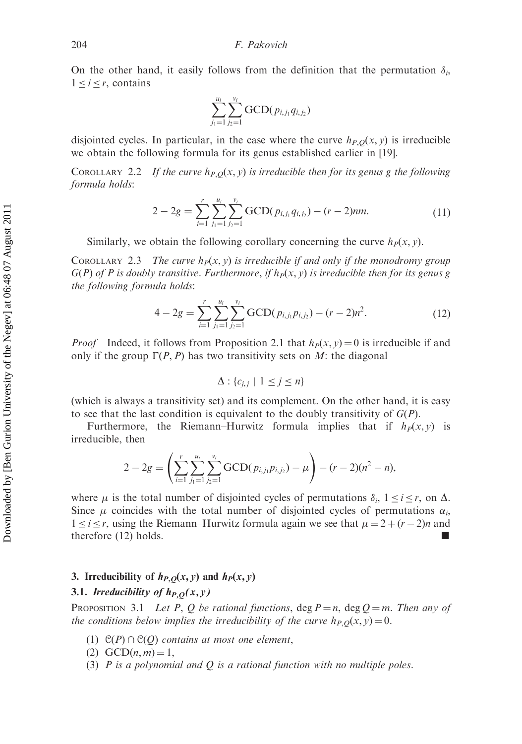On the other hand, it easily follows from the definition that the permutation  $\delta_i$ ,  $1 \leq i \leq r$ , contains

$$
\sum_{j_1=1}^{u_i} \sum_{j_2=1}^{v_i} \text{GCD}(p_{i,j_1}q_{i,j_2})
$$

disjointed cycles. In particular, in the case where the curve  $h_{P,Q}(x, y)$  is irreducible we obtain the following formula for its genus established earlier in [19].

COROLLARY 2.2 If the curve  $h_{P,Q}(x, y)$  is irreducible then for its genus g the following formula holds:

$$
2 - 2g = \sum_{i=1}^{r} \sum_{j_1=1}^{u_i} \sum_{j_2=1}^{v_i} \text{GCD}(p_{i,j_1}q_{i,j_2}) - (r - 2)nm. \tag{11}
$$

Similarly, we obtain the following corollary concerning the curve  $h<sub>P</sub>(x, y)$ .

COROLLARY 2.3 The curve  $h_P(x, y)$  is irreducible if and only if the monodromy group  $G(P)$  of P is doubly transitive. Furthermore, if  $h_P(x, y)$  is irreducible then for its genus g the following formula holds:

$$
4 - 2g = \sum_{i=1}^{r} \sum_{j_1=1}^{u_i} \sum_{j_2=1}^{v_i} \text{GCD}(p_{i,j_1}p_{i,j_2}) - (r - 2)n^2.
$$
 (12)

*Proof* Indeed, it follows from Proposition 2.1 that  $h_P(x, y) = 0$  is irreducible if and only if the group  $\Gamma(P, P)$  has two transitivity sets on M: the diagonal

$$
\Delta: \{c_{j,j} \mid 1 \leq j \leq n\}
$$

(which is always a transitivity set) and its complement. On the other hand, it is easy to see that the last condition is equivalent to the doubly transitivity of  $G(P)$ .

Furthermore, the Riemann–Hurwitz formula implies that if  $h_P(x, y)$  is irreducible, then

$$
2-2g = \left(\sum_{i=1}^r \sum_{j_1=1}^{u_i} \sum_{j_2=1}^{v_i} \text{GCD}(p_{i,j_1}p_{i,j_2}) - \mu\right) - (r-2)(n^2 - n),
$$

where  $\mu$  is the total number of disjointed cycles of permutations  $\delta_i$ ,  $1 \le i \le r$ , on  $\Delta$ . Since  $\mu$  coincides with the total number of disjointed cycles of permutations  $\alpha_i$ ,  $1 \le i \le r$ , using the Riemann–Hurwitz formula again we see that  $\mu = 2 + (r - 2)n$  and therefore  $(12)$  holds.

## 3. Irreducibility of  $h_{P,Q}(x, y)$  and  $h_P(x, y)$

# 3.1. Irreducibility of  $h_{P,Q}(x, y)$

PROPOSITION 3.1 Let P, Q be rational functions, deg  $P = n$ , deg  $Q = m$ . Then any of the conditions below implies the irreducibility of the curve  $h_{P,Q}(x, y) = 0$ .

- (1)  $\mathcal{C}(P) \cap \mathcal{C}(Q)$  contains at most one element,
- (2)  $GCD(n, m) = 1$ ,
- (3)  $P$  is a polynomial and  $Q$  is a rational function with no multiple poles.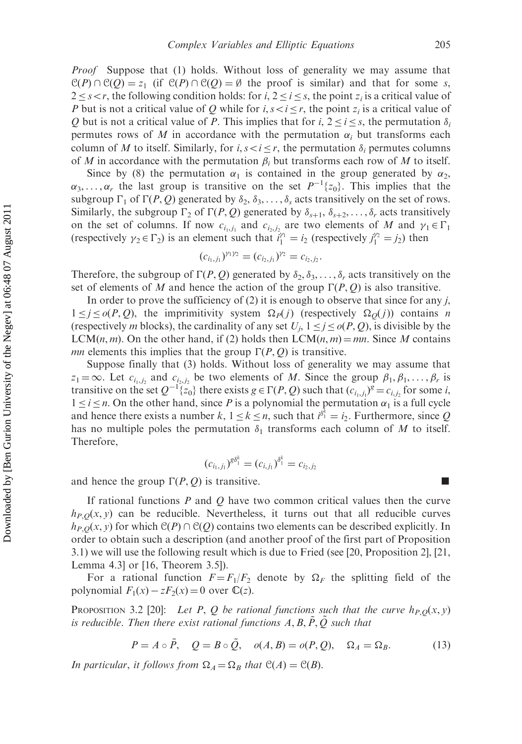Proof Suppose that (1) holds. Without loss of generality we may assume that  $\mathcal{C}(P) \cap \mathcal{C}(Q) = z_1$  (if  $\mathcal{C}(P) \cap \mathcal{C}(Q) = \emptyset$  the proof is similar) and that for some s,  $2 \leq s < r$ , the following condition holds: for i,  $2 \leq i \leq s$ , the point  $z_i$  is a critical value of P but is not a critical value of Q while for i,  $s < i \le r$ , the point  $z_i$  is a critical value of Q but is not a critical value of P. This implies that for  $i, 2 \le i \le s$ , the permutation  $\delta_i$ permutes rows of M in accordance with the permutation  $\alpha_i$  but transforms each column of M to itself. Similarly, for  $i, s < i \leq r$ , the permutation  $\delta_i$  permutes columns of M in accordance with the permutation  $\beta_i$  but transforms each row of M to itself.

Since by (8) the permutation  $\alpha_1$  is contained in the group generated by  $\alpha_2$ ,  $\alpha_3, \ldots, \alpha_r$  the last group is transitive on the set  $P^{-1}{z_0}$ . This implies that the subgroup  $\Gamma_1$  of  $\Gamma(P, Q)$  generated by  $\delta_2, \delta_3, \ldots, \delta_s$  acts transitively on the set of rows. Similarly, the subgroup  $\Gamma_2$  of  $\Gamma(P, Q)$  generated by  $\delta_{s+1}, \delta_{s+2}, \ldots, \delta_r$  acts transitively on the set of columns. If now  $c_{i_1,j_1}$  and  $c_{i_2,j_2}$  are two elements of M and  $\gamma_1 \in \Gamma_1$ (respectively  $\gamma_2 \in \Gamma_2$ ) is an element such that  $i_1^{\gamma_1} = i_2$  (respectively  $j_1^{\gamma_2} = j_2$ ) then

$$
(c_{i_1,j_1})^{\gamma_1\gamma_2}=(c_{i_2,j_1})^{\gamma_2}=c_{i_2,j_2}.
$$

Therefore, the subgroup of  $\Gamma(P, Q)$  generated by  $\delta_2, \delta_3, \ldots, \delta_r$  acts transitively on the set of elements of M and hence the action of the group  $\Gamma(P, Q)$  is also transitive.

In order to prove the sufficiency of  $(2)$  it is enough to observe that since for any j,  $1 \leq j \leq o(P, Q)$ , the imprimitivity system  $\Omega_P(j)$  (respectively  $\Omega_O(j)$ ) contains n (respectively *m* blocks), the cardinality of any set  $U_i$ ,  $1 \le j \le o(P, Q)$ , is divisible by the LCM(n, m). On the other hand, if (2) holds then LCM(n, m) = mn. Since M contains *mn* elements this implies that the group  $\Gamma(P, Q)$  is transitive.

Suppose finally that (3) holds. Without loss of generality we may assume that  $z_1 = \infty$ . Let  $c_{i_1, j_2}$  and  $c_{i_2, j_2}$  be two elements of M. Since the group  $\beta_1, \beta_1, \ldots, \beta_r$  is transitive on the set  $Q^{-1}\left\{z_0\right\}$  there exists  $g \in \Gamma(P, Q)$  such that  $(c_{i_1,j_1})^g = c_{i,j_2}$  for some i,  $1 \le i \le n$ . On the other hand, since P is a polynomial the permutation  $\alpha_1$  is a full cycle and hence there exists a number k,  $1 \le k \le n$ , such that  $i^{\delta_i^k} = i_2$ . Furthermore, since Q has no multiple poles the permutation  $\delta_1$  transforms each column of M to itself. Therefore,

$$
(c_{i_1,j_1})^{g\delta_1^k} = (c_{i,j_1})^{\delta_1^k} = c_{i_2,j_2}
$$

and hence the group  $\Gamma(P, Q)$  is transitive.

If rational functions  $P$  and  $Q$  have two common critical values then the curve  $h_{P,Q}(x, y)$  can be reducible. Nevertheless, it turns out that all reducible curves  $h_{P,Q}(x, y)$  for which  $\mathcal{C}(P) \cap \mathcal{C}(Q)$  contains two elements can be described explicitly. In order to obtain such a description (and another proof of the first part of Proposition 3.1) we will use the following result which is due to Fried (see [20, Proposition 2], [21, Lemma 4.3] or [16, Theorem 3.5]).

For a rational function  $F = F_1/F_2$  denote by  $\Omega_F$  the splitting field of the polynomial  $F_1(x) - zF_2(x) = 0$  over  $\mathbb{C}(z)$ .

PROPOSITION 3.2 [20]: Let P, Q be rational functions such that the curve  $h_{P,Q}(x, y)$ is reducible. Then there exist rational functions  $A, B, \tilde{P}, \tilde{Q}$  such that

$$
P = A \circ \tilde{P}, \quad Q = B \circ \tilde{Q}, \quad o(A, B) = o(P, Q), \quad \Omega_A = \Omega_B.
$$
 (13)

In particular, it follows from  $\Omega_A = \Omega_B$  that  $\mathcal{C}(A) = \mathcal{C}(B)$ .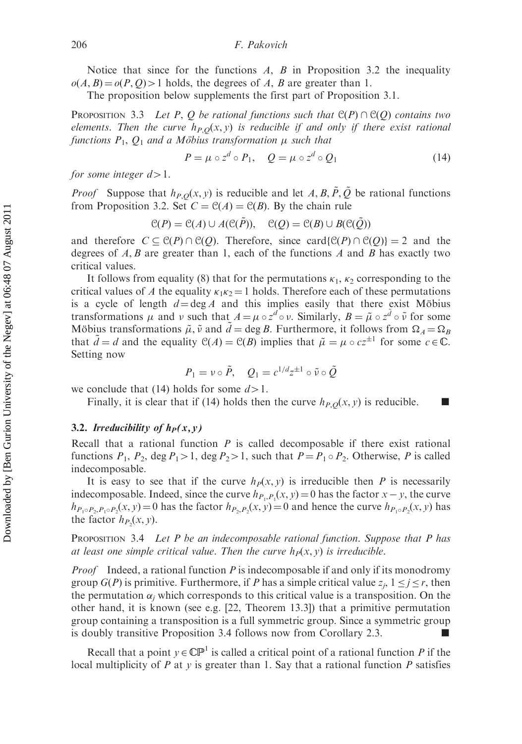Notice that since for the functions  $A$ ,  $B$  in Proposition 3.2 the inequality  $o(A, B) = o(P, Q) > 1$  holds, the degrees of A, B are greater than 1.

The proposition below supplements the first part of Proposition 3.1.

PROPOSITION 3.3 Let P, Q be rational functions such that  $\mathcal{C}(P) \cap \mathcal{C}(Q)$  contains two elements. Then the curve  $h_{P,Q}(x, y)$  is reducible if and only if there exist rational functions  $P_1$ ,  $Q_1$  and a Möbius transformation  $\mu$  such that

$$
P = \mu \circ z^d \circ P_1, \quad Q = \mu \circ z^d \circ Q_1 \tag{14}
$$

for some integer  $d>1$ .

*Proof* Suppose that  $h_{P,Q}(x, y)$  is reducible and let A, B,  $\tilde{P}, \tilde{Q}$  be rational functions from Proposition 3.2. Set  $C = \mathcal{C}(A) = \mathcal{C}(B)$ . By the chain rule

$$
\mathcal{C}(P) = \mathcal{C}(A) \cup A(\mathcal{C}(\tilde{P})), \quad \mathcal{C}(Q) = \mathcal{C}(B) \cup B(\mathcal{C}(\tilde{Q}))
$$

and therefore  $C \subseteq C(P) \cap C(Q)$ . Therefore, since card $\{C(P) \cap C(Q)\} = 2$  and the degrees of 4 R are greater than 1 each of the functions 4 and R has exactly two degrees of  $A, B$  are greater than 1, each of the functions  $A$  and  $B$  has exactly two critical values.

It follows from equality (8) that for the permutations  $\kappa_1$ ,  $\kappa_2$  corresponding to the critical values of A the equality  $\kappa_1 \kappa_2 = 1$  holds. Therefore each of these permutations is a cycle of length  $d = \deg A$  and this implies easily that there exist Möbius transformations  $\mu$  and  $\nu$  such that  $A = \mu \circ z^{d} \circ \nu$ . Similarly,  $B = \tilde{\mu} \circ z^{\tilde{d}} \circ \tilde{\nu}$  for some Möbius transformations  $\tilde{\mu}$ ,  $\tilde{\nu}$  and  $\tilde{d} = \deg B$ . Furthermore, it follows from  $\Omega_A = \Omega_B$ that  $\tilde{d} = d$  and the equality  $\mathcal{C}(A) = \mathcal{C}(B)$  implies that  $\tilde{\mu} = \mu \circ cz^{\pm 1}$  for some  $c \in \mathbb{C}$ . Setting now

$$
P_1 = v \circ \tilde{P}, \quad Q_1 = c^{1/d} z^{\pm 1} \circ \tilde{v} \circ \tilde{Q}
$$

we conclude that (14) holds for some  $d>1$ .

Finally, it is clear that if (14) holds then the curve  $h_{P,Q}(x, y)$  is reducible.

#### 3.2. Irreducibility of  $h_P(x, y)$

Recall that a rational function  $P$  is called decomposable if there exist rational functions  $P_1$ ,  $P_2$ , deg  $P_1 > 1$ , deg  $P_2 > 1$ , such that  $P = P_1 \circ P_2$ . Otherwise, P is called indecomposable.

It is easy to see that if the curve  $h<sub>P</sub>(x, y)$  is irreducible then P is necessarily indecomposable. Indeed, since the curve  $h_{P_1, P_1}(x, y) = 0$  has the factor  $x - y$ , the curve  $h_{P_1 \circ P_2, P_1 \circ P_2}(x, y) = 0$  has the factor  $h_{P_2, P_2}(x, y) = 0$  and hence the curve  $h_{P_1 \circ P_2}(x, y)$  has the factor  $h_{P_2}(x, y)$ .

PROPOSITION 3.4 Let P be an indecomposable rational function. Suppose that P has at least one simple critical value. Then the curve  $h_P(x, y)$  is irreducible.

*Proof* Indeed, a rational function P is indecomposable if and only if its monodromy group  $G(P)$  is primitive. Furthermore, if P has a simple critical value  $z_i$ ,  $1 \leq j \leq r$ , then the permutation  $\alpha_i$  which corresponds to this critical value is a transposition. On the other hand, it is known (see e.g. [22, Theorem 13.3]) that a primitive permutation group containing a transposition is a full symmetric group. Since a symmetric group is doubly transitive Proposition 3.4 follows now from Corollary 2.3.

Recall that a point  $y \in \mathbb{CP}^1$  is called a critical point of a rational function P if the local multiplicity of P at  $\gamma$  is greater than 1. Say that a rational function P satisfies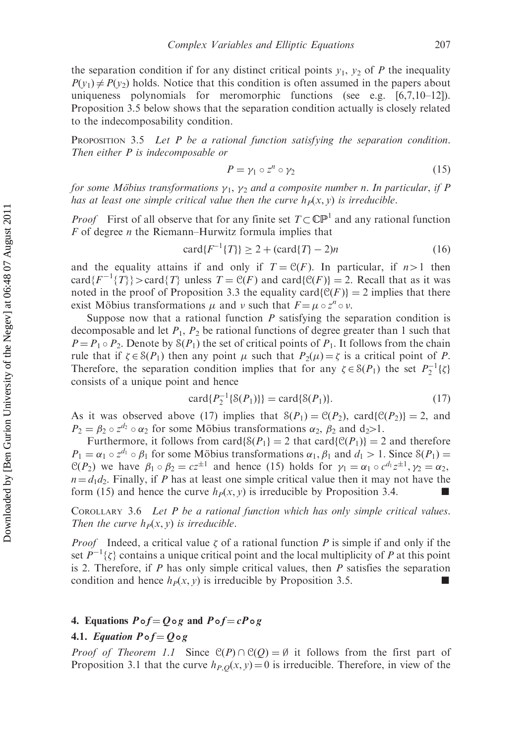the separation condition if for any distinct critical points  $y_1$ ,  $y_2$  of P the inequality  $P(y_1) \neq P(y_2)$  holds. Notice that this condition is often assumed in the papers about uniqueness polynomials for meromorphic functions (see e.g. [6,7,10–12]). Proposition 3.5 below shows that the separation condition actually is closely related to the indecomposability condition.

PROPOSITION  $3.5$  Let P be a rational function satisfying the separation condition. Then either P is indecomposable or

$$
P = \gamma_1 \circ z^n \circ \gamma_2 \tag{15}
$$

for some Möbius transformations  $\gamma_1,\,\gamma_2$  and a composite number n. In particular, if P has at least one simple critical value then the curve  $h_P(x, y)$  is irreducible.

*Proof* First of all observe that for any finite set  $T \subset \mathbb{CP}^1$  and any rational function  $F$  of degree  $n$  the Riemann–Hurwitz formula implies that

$$
card{F^{-1}\{T\}} \ge 2 + (card{T} - 2)n
$$
\n(16)

and the equality attains if and only if  $T = \mathcal{C}(F)$ . In particular, if  $n>1$  then card $\{F^{-1}\{T\}\}$  > card $\{T\}$  unless  $T = \mathcal{C}(F)$  and card $\{\mathcal{C}(F)\} = 2$ . Recall that as it was noted in the proof of Proposition 3.3 the equality card $\{\mathcal{C}(F)\} = 2$  implies that there exist Möbius transformations  $\mu$  and  $\nu$  such that  $F = \mu \circ z^n \circ \nu$ .

Suppose now that a rational function  $P$  satisfying the separation condition is decomposable and let  $P_1$ ,  $P_2$  be rational functions of degree greater than 1 such that  $P = P_1 \circ P_2$ . Denote by  $\mathcal{S}(P_1)$  the set of critical points of  $P_1$ . It follows from the chain rule that if  $\zeta \in \mathcal{S}(P_1)$  then any point  $\mu$  such that  $P_2(\mu) = \zeta$  is a critical point of P. Therefore, the separation condition implies that for any  $\zeta \in \mathcal{S}(P_1)$  the set  $P_2^{-1}\{\zeta\}$ consists of a unique point and hence

$$
card\{P_2^{-1}\{S(P_1)\}\} = card\{S(P_1)\}.
$$
\n(17)

As it was observed above (17) implies that  $\mathcal{S}(P_1) = \mathcal{C}(P_2)$ , card $\{\mathcal{C}(P_2)\} = 2$ , and  $P_2 = \beta_2 \circ z^{d_2} \circ \alpha_2$  for some Möbius transformations  $\alpha_2$ ,  $\beta_2$  and  $d_2 > 1$ .

Furthermore, it follows from card{ $\mathcal{S}(P_1) = 2$  that card{ $\mathcal{C}(P_1) = 2$  and therefore  $P_1 = \alpha_1 \circ z^{d_1} \circ \beta_1$  for some Möbius transformations  $\alpha_1, \beta_1$  and  $d_1 > 1$ . Since  $\delta(P_1)$  $\mathcal{C}(P_2)$  we have  $\beta_1 \circ \beta_2 = cz^{\pm 1}$  and hence (15) holds for  $\gamma_1 = \alpha_1 \circ c^{d_1} z^{\pm 1}$ ,  $\gamma_2 = \alpha_2$ ,  $n-d_1d_2$ . Finally if P has at least one simple critical value then it may not have the  $n = d_1 d_2$ . Finally, if P has at least one simple critical value then it may not have the form (15) and hence the curve  $h<sub>P</sub>(x, y)$  is irreducible by Proposition 3.4.

COROLLARY 3.6 Let P be a rational function which has only simple critical values. Then the curve  $h_P(x, y)$  is irreducible.

*Proof* Indeed, a critical value  $\zeta$  of a rational function P is simple if and only if the set  $P^{-1}{\{\zeta\}}$  contains a unique critical point and the local multiplicity of P at this point is 2. Therefore, if  $P$  has only simple critical values, then  $P$  satisfies the separation condition and hence  $h<sub>P</sub>(x, y)$  is irreducible by Proposition 3.5.

# 4. Equations  $P \circ f = Q \circ g$  and  $P \circ f = cP \circ g$

## 4.1. Equation  $P \circ f = Q \circ g$

*Proof of Theorem 1.1* Since  $\mathcal{C}(P) \cap \mathcal{C}(Q) = \emptyset$  it follows from the first part of Proposition 3.1 that the curve  $h_{P,Q}(x, y) = 0$  is irreducible. Therefore, in view of the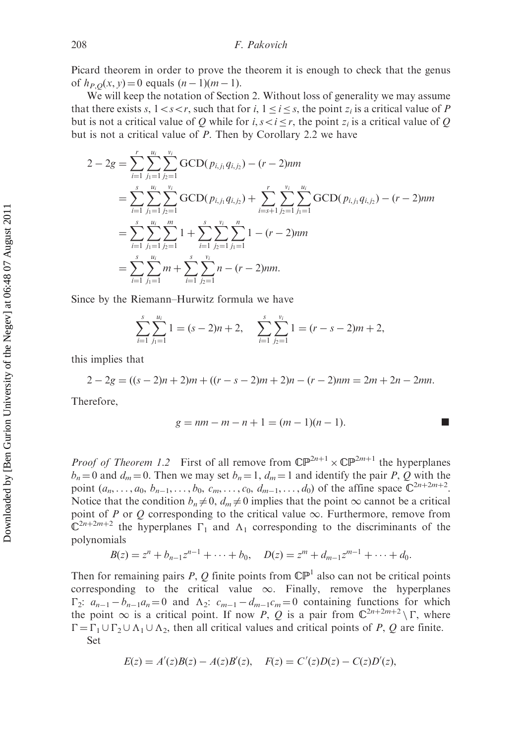Picard theorem in order to prove the theorem it is enough to check that the genus of  $h_{P,Q}(x, y) = 0$  equals  $(n-1)(m-1)$ .

We will keep the notation of Section 2. Without loss of generality we may assume that there exists s,  $1 < s < r$ , such that for i,  $1 \le i \le s$ , the point  $z_i$  is a critical value of P but is not a critical value of Q while for i,  $s < i \le r$ , the point  $z_i$  is a critical value of Q but is not a critical value of P. Then by Corollary 2.2 we have

$$
2 - 2g = \sum_{i=1}^{r} \sum_{j_1=1}^{u_i} \sum_{j_2=1}^{v_i} \text{GCD}(p_{i,j_1}q_{i,j_2}) - (r - 2)nm
$$
  
\n
$$
= \sum_{i=1}^{s} \sum_{j_1=1}^{u_i} \sum_{j_2=1}^{v_i} \text{GCD}(p_{i,j_1}q_{i,j_2}) + \sum_{i=s+1}^{r} \sum_{j_2=1}^{v_i} \sum_{j_1=1}^{u_i} \text{GCD}(p_{i,j_1}q_{i,j_2}) - (r - 2)nm
$$
  
\n
$$
= \sum_{i=1}^{s} \sum_{j_1=1}^{u_i} \sum_{j_2=1}^{m} 1 + \sum_{i=1}^{s} \sum_{j_2=1}^{v_i} \sum_{j_1=1}^{n} 1 - (r - 2)nm
$$
  
\n
$$
= \sum_{i=1}^{s} \sum_{j_1=1}^{u_i} m + \sum_{i=1}^{s} \sum_{j_2=1}^{v_i} n - (r - 2)nm.
$$

Since by the Riemann–Hurwitz formula we have

$$
\sum_{i=1}^{s} \sum_{j_1=1}^{u_i} 1 = (s-2)n + 2, \quad \sum_{i=1}^{s} \sum_{j_2=1}^{v_i} 1 = (r - s - 2)m + 2,
$$

this implies that

$$
2-2g = ((s-2)n + 2)m + ((r - s - 2)m + 2)n - (r - 2nm) = 2m + 2n - 2mn.
$$

Therefore,

$$
g = nm - m - n + 1 = (m - 1)(n - 1).
$$

*Proof of Theorem 1.2* First of all remove from  $\mathbb{CP}^{2n+1} \times \mathbb{CP}^{2m+1}$  the hyperplanes  $b_n = 0$  and  $d_m = 0$ . Then we may set  $b_n = 1$ ,  $d_m = 1$  and identify the pair P, Q with the point  $(a_n, ..., a_0, b_{n-1}, ..., b_0, c_m, ..., c_0, d_{m-1}, ..., d_0)$  of the affine space  $\mathbb{C}^{2n+2m+2}$ . Notice that the condition  $b_n \neq 0$ ,  $d_m \neq 0$  implies that the point  $\infty$  cannot be a critical point of P or Q corresponding to the critical value  $\infty$ . Furthermore, remove from  $\mathbb{C}^{2n+2m+2}$  the hyperplanes  $\Gamma_1$  and  $\Lambda_1$  corresponding to the discriminants of the polynomials

$$
B(z) = zn + bn-1zn-1 + \dots + b_0, \quad D(z) = zm + dm-1zm-1 + \dots + d_0.
$$

Then for remaining pairs P, Q finite points from  $\mathbb{CP}^1$  also can not be critical points corresponding to the critical value  $\infty$ . Finally, remove the hyperplanes  $\Gamma_2$ :  $a_{n-1} - b_{n-1}a_n = 0$  and  $\Lambda_2$ :  $c_{m-1} - d_{m-1}c_m = 0$  containing functions for which the point  $\infty$  is a critical point. If now P, Q is a pair from  $\mathbb{C}^{2n+2m+2} \setminus \Gamma$ , where  $\Gamma = \Gamma_1 \cup \Gamma_2 \cup \Lambda_1 \cup \Lambda_2$ , then all critical values and critical points of P, Q are finite. Set

$$
E(z) = A'(z)B(z) - A(z)B'(z), \quad F(z) = C'(z)D(z) - C(z)D'(z),
$$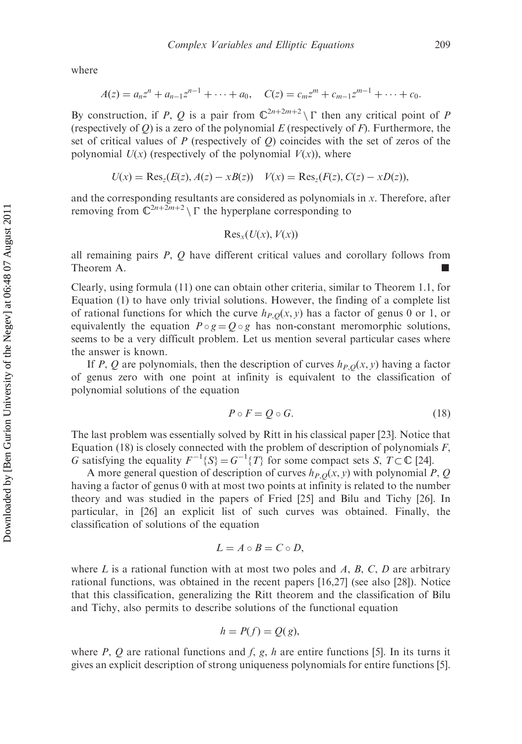where

$$
A(z) = a_n z^n + a_{n-1} z^{n-1} + \dots + a_0, \quad C(z) = c_m z^m + c_{m-1} z^{m-1} + \dots + c_0.
$$

By construction, if P, Q is a pair from  $\mathbb{C}^{2n+2m+2} \setminus \Gamma$  then any critical point of P (respectively of  $Q$ ) is a zero of the polynomial E (respectively of F). Furthermore, the set of critical values of P (respectively of O) coincides with the set of zeros of the polynomial  $U(x)$  (respectively of the polynomial  $V(x)$ ), where

$$
U(x) = \text{Res}_{z}(E(z), A(z) - xB(z)) \quad V(x) = \text{Res}_{z}(F(z), C(z) - xD(z)),
$$

and the corresponding resultants are considered as polynomials in x. Therefore, after removing from  $\mathbb{C}^{2n+2m+2}$   $\setminus \Gamma$  the hyperplane corresponding to

$$
\text{Res}_x(U(x), V(x))
$$

all remaining pairs P, Q have different critical values and corollary follows from Theorem A.

Clearly, using formula (11) one can obtain other criteria, similar to Theorem 1.1, for Equation (1) to have only trivial solutions. However, the finding of a complete list of rational functions for which the curve  $h_{P,Q}(x, y)$  has a factor of genus 0 or 1, or equivalently the equation  $P \circ g = Q \circ g$  has non-constant meromorphic solutions, seems to be a very difficult problem. Let us mention several particular cases where the answer is known.

If P, Q are polynomials, then the description of curves  $h_{P,Q}(x, y)$  having a factor of genus zero with one point at infinity is equivalent to the classification of polynomial solutions of the equation

$$
P \circ F = Q \circ G. \tag{18}
$$

The last problem was essentially solved by Ritt in his classical paper [23]. Notice that Equation (18) is closely connected with the problem of description of polynomials  $F$ , G satisfying the equality  $F^{-1}{S} = G^{-1}{T}$  for some compact sets S,  $T \subset \mathbb{C}$  [24].

A more general question of description of curves  $h_{P,Q}(x, y)$  with polynomial P, Q having a factor of genus 0 with at most two points at infinity is related to the number theory and was studied in the papers of Fried [25] and Bilu and Tichy [26]. In particular, in [26] an explicit list of such curves was obtained. Finally, the classification of solutions of the equation

$$
L = A \circ B = C \circ D,
$$

where L is a rational function with at most two poles and  $A, B, C, D$  are arbitrary rational functions, was obtained in the recent papers [16,27] (see also [28]). Notice that this classification, generalizing the Ritt theorem and the classification of Bilu and Tichy, also permits to describe solutions of the functional equation

$$
h = P(f) = Q(g),
$$

where P, Q are rational functions and f, g, h are entire functions [5]. In its turns it gives an explicit description of strong uniqueness polynomials for entire functions [5].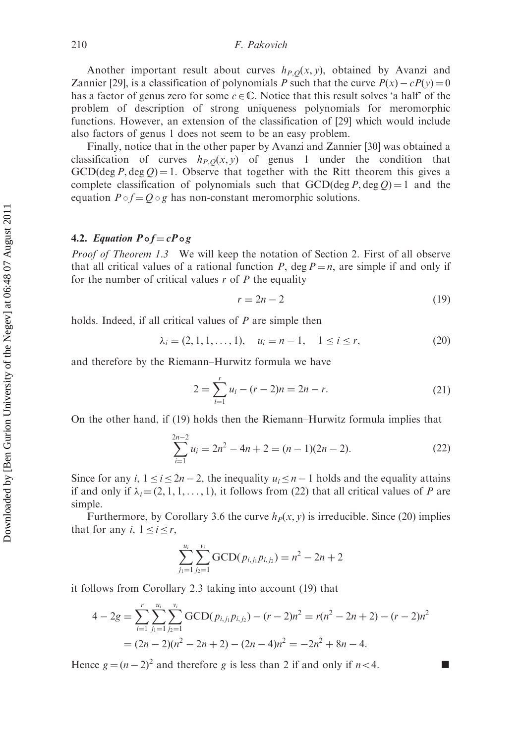Another important result about curves  $h_{P,Q}(x, y)$ , obtained by Avanzi and Zannier [29], is a classification of polynomials P such that the curve  $P(x) - cP(y) = 0$ has a factor of genus zero for some  $c \in \mathbb{C}$ . Notice that this result solves 'a half' of the problem of description of strong uniqueness polynomials for meromorphic functions. However, an extension of the classification of [29] which would include also factors of genus 1 does not seem to be an easy problem.

Finally, notice that in the other paper by Avanzi and Zannier [30] was obtained a classification of curves  $h_{P,Q}(x, y)$  of genus 1 under the condition that  $GCD(\deg P, \deg Q) = 1$ . Observe that together with the Ritt theorem this gives a complete classification of polynomials such that  $GCD(\deg P, \deg Q) = 1$  and the equation  $P \circ f = Q \circ g$  has non-constant meromorphic solutions.

## 4.2. Equation  $P \circ f = cP \circ g$

*Proof of Theorem 1.3* We will keep the notation of Section 2. First of all observe that all critical values of a rational function P, deg  $P = n$ , are simple if and only if for the number of critical values  $r$  of  $P$  the equality

$$
r = 2n - 2\tag{19}
$$

holds. Indeed, if all critical values of P are simple then

$$
\lambda_i = (2, 1, 1, \dots, 1), \quad u_i = n - 1, \quad 1 \le i \le r,
$$
\n<sup>(20)</sup>

and therefore by the Riemann–Hurwitz formula we have

$$
2 = \sum_{i=1}^{r} u_i - (r-2)n = 2n - r.
$$
 (21)

On the other hand, if (19) holds then the Riemann–Hurwitz formula implies that

$$
\sum_{i=1}^{2n-2} u_i = 2n^2 - 4n + 2 = (n-1)(2n-2).
$$
 (22)

Since for any i,  $1 \le i \le 2n - 2$ , the inequality  $u_i \le n - 1$  holds and the equality attains if and only if  $\lambda_i = (2, 1, 1, \dots, 1)$ , it follows from (22) that all critical values of P are simple.

Furthermore, by Corollary 3.6 the curve  $h<sub>P</sub>(x, y)$  is irreducible. Since (20) implies that for any  $i, 1 \le i \le r$ ,

$$
\sum_{j_1=1}^{u_i} \sum_{j_2=1}^{v_i} \text{GCD}(p_{i,j_1}p_{i,j_2}) = n^2 - 2n + 2
$$

it follows from Corollary 2.3 taking into account (19) that

$$
4 - 2g = \sum_{i=1}^{r} \sum_{j_1=1}^{u_i} \sum_{j_2=1}^{v_i} \text{GCD}(p_{i,j_1}p_{i,j_2}) - (r - 2)n^2 = r(n^2 - 2n + 2) - (r - 2)n^2
$$
  
=  $(2n - 2)(n^2 - 2n + 2) - (2n - 4)n^2 = -2n^2 + 8n - 4.$ 

Hence  $g = (n - 2)^2$  and therefore g is less than 2 if and only if  $n < 4$ .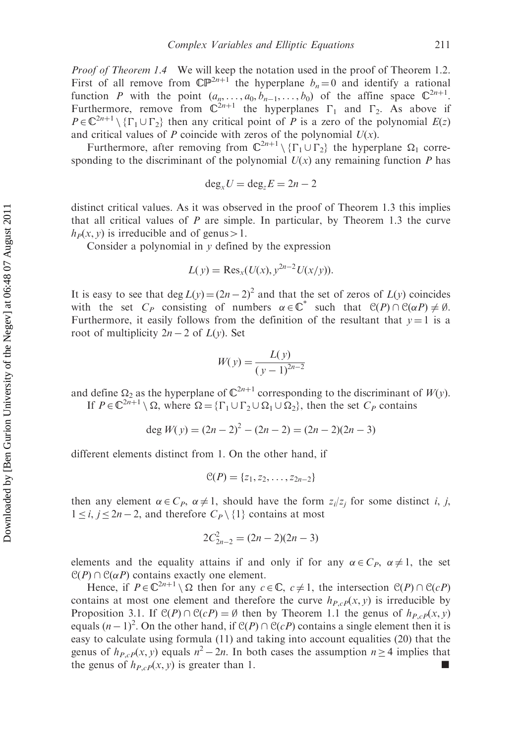Proof of Theorem 1.4 We will keep the notation used in the proof of Theorem 1.2. First of all remove from  $\mathbb{CP}^{2n+1}$  the hyperplane  $b_n = 0$  and identify a rational function P with the point  $(a_n, \ldots, a_0, b_{n-1}, \ldots, b_0)$  of the affine space  $\mathbb{C}^{2n+1}$ . Furthermore, remove from  $\mathbb{C}^{2n+1}$  the hyperplanes  $\Gamma_1$  and  $\Gamma_2$ . As above if  $P \in \mathbb{C}^{2n+1} \setminus {\{\Gamma_1 \cup \Gamma_2\}}$  then any critical point of P is a zero of the polynomial  $E(z)$ and critical values of P coincide with zeros of the polynomial  $U(x)$ .

Furthermore, after removing from  $\mathbb{C}^{2n+1} \setminus {\{\Gamma_1 \cup \Gamma_2\}}$  the hyperplane  $\Omega_1$  corresponding to the discriminant of the polynomial  $U(x)$  any remaining function P has

$$
\deg_x U = \deg_z E = 2n - 2
$$

distinct critical values. As it was observed in the proof of Theorem 1.3 this implies that all critical values of  $P$  are simple. In particular, by Theorem 1.3 the curve  $h<sub>P</sub>(x, y)$  is irreducible and of genus > 1.

Consider a polynomial in y defined by the expression

$$
L(y) = \text{Res}_x(U(x), y^{2n-2}U(x/y)).
$$

It is easy to see that deg  $L(y) = (2n - 2)^2$  and that the set of zeros of  $L(y)$  coincides with the set  $C_P$  consisting of numbers  $\alpha \in \mathbb{C}^*$  such that  $\mathcal{C}(P) \cap \mathcal{C}(\alpha P) \neq \emptyset$ . Furthermore, it easily follows from the definition of the resultant that  $y = 1$  is a root of multiplicity  $2n - 2$  of  $L(y)$ . Set

$$
W(y) = \frac{L(y)}{(y-1)^{2n-2}}
$$

and define  $\Omega_2$  as the hyperplane of  $\mathbb{C}^{2n+1}$  corresponding to the discriminant of  $W(y)$ . If  $P \in \mathbb{C}^{2n+1} \setminus \Omega$ , where  $\Omega = \{\Gamma_1 \cup \Gamma_2 \cup \Omega_1 \cup \Omega_2\}$ , then the set  $C_P$  contains

$$
deg W(y) = (2n - 2)^2 - (2n - 2) = (2n - 2)(2n - 3)
$$

different elements distinct from 1. On the other hand, if

$$
\mathcal{C}(P) = \{z_1, z_2, \ldots, z_{2n-2}\}\
$$

then any element  $\alpha \in C_p$ ,  $\alpha \neq 1$ , should have the form  $z_i/z_j$  for some distinct i, j,  $1 \le i, j \le 2n - 2$ , and therefore  $C_P \setminus \{1\}$  contains at most

$$
2C_{2n-2}^2 = (2n-2)(2n-3)
$$

elements and the equality attains if and only if for any  $\alpha \in C_P$ ,  $\alpha \neq 1$ , the set  $\mathcal{C}(P) \cap \mathcal{C}(\alpha P)$  contains exactly one element.

Hence, if  $P \in \mathbb{C}^{2n+1} \setminus \Omega$  then for any  $c \in \mathbb{C}$ ,  $c \neq 1$ , the intersection  $\mathcal{C}(P) \cap \mathcal{C}(cP)$ contains at most one element and therefore the curve  $h_{P,cP}(x, y)$  is irreducible by Proposition 3.1. If  $\mathcal{C}(P) \cap \mathcal{C}(cP) = \emptyset$  then by Theorem 1.1 the genus of  $h_{P,cP}(x, y)$ equals  $(n-1)^2$ . On the other hand, if  $\mathcal{C}(P) \cap \mathcal{C}(cP)$  contains a single element then it is easy to calculate using formula (11) and taking into account equalities (20) that the genus of  $h_{P,cP}(x, y)$  equals  $n^2 - 2n$ . In both cases the assumption  $n \ge 4$  implies that the genus of  $h_{P,cP}(x, y)$  is greater than 1.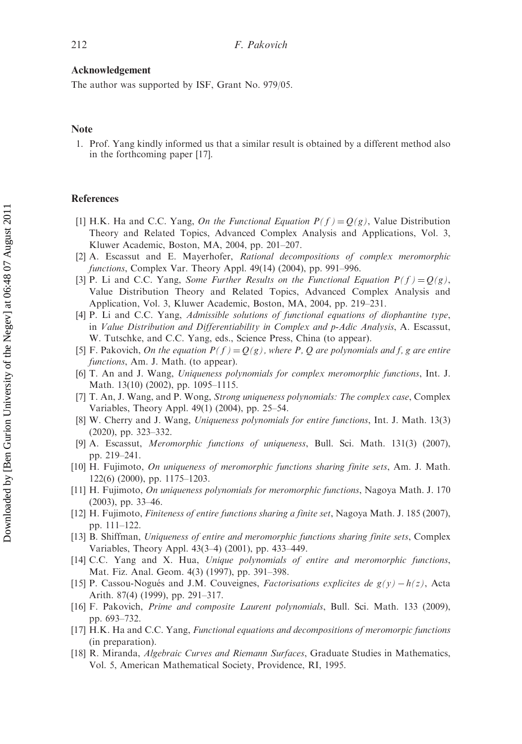#### Acknowledgement

The author was supported by ISF, Grant No. 979/05.

#### Note

1. Prof. Yang kindly informed us that a similar result is obtained by a different method also in the forthcoming paper [17].

#### References

- [1] H.K. Ha and C.C. Yang, On the Functional Equation  $P(f) = Q(g)$ , Value Distribution Theory and Related Topics, Advanced Complex Analysis and Applications, Vol. 3, Kluwer Academic, Boston, MA, 2004, pp. 201–207.
- [2] A. Escassut and E. Mayerhofer, Rational decompositions of complex meromorphic functions, Complex Var. Theory Appl. 49(14) (2004), pp. 991–996.
- [3] P. Li and C.C. Yang, Some Further Results on the Functional Equation  $P(f) = O(g)$ , Value Distribution Theory and Related Topics, Advanced Complex Analysis and Application, Vol. 3, Kluwer Academic, Boston, MA, 2004, pp. 219–231.
- [4] P. Li and C.C. Yang, Admissible solutions of functional equations of diophantine type, in Value Distribution and Differentiability in Complex and p-Adic Analysis, A. Escassut, W. Tutschke, and C.C. Yang, eds., Science Press, China (to appear).
- [5] F. Pakovich, On the equation  $P(f) = Q(g)$ , where P, Q are polynomials and f, g are entire functions, Am. J. Math. (to appear).
- [6] T. An and J. Wang, Uniqueness polynomials for complex meromorphic functions, Int. J. Math. 13(10) (2002), pp. 1095–1115.
- [7] T. An, J. Wang, and P. Wong, Strong uniqueness polynomials: The complex case, Complex Variables, Theory Appl. 49(1) (2004), pp. 25–54.
- [8] W. Cherry and J. Wang, Uniqueness polynomials for entire functions, Int. J. Math. 13(3) (2020), pp. 323–332.
- [9] A. Escassut, Meromorphic functions of uniqueness, Bull. Sci. Math. 131(3) (2007), pp. 219–241.
- [10] H. Fujimoto, On uniqueness of meromorphic functions sharing finite sets, Am. J. Math. 122(6) (2000), pp. 1175–1203.
- [11] H. Fujimoto, On uniqueness polynomials for meromorphic functions, Nagoya Math. J. 170 (2003), pp. 33–46.
- [12] H. Fujimoto, Finiteness of entire functions sharing a finite set, Nagoya Math. J. 185 (2007), pp. 111–122.
- [13] B. Shiffman, Uniqueness of entire and meromorphic functions sharing finite sets, Complex Variables, Theory Appl. 43(3–4) (2001), pp. 433–449.
- [14] C.C. Yang and X. Hua, Unique polynomials of entire and meromorphic functions, Mat. Fiz. Anal. Geom. 4(3) (1997), pp. 391–398.
- [15] P. Cassou-Nogués and J.M. Couveignes, Factorisations explicites de  $g(y) h(z)$ , Acta Arith. 87(4) (1999), pp. 291–317.
- [16] F. Pakovich, Prime and composite Laurent polynomials, Bull. Sci. Math. 133 (2009), pp. 693–732.
- [17] H.K. Ha and C.C. Yang, Functional equations and decompositions of meromorpic functions (in preparation).
- [18] R. Miranda, Algebraic Curves and Riemann Surfaces, Graduate Studies in Mathematics, Vol. 5, American Mathematical Society, Providence, RI, 1995.